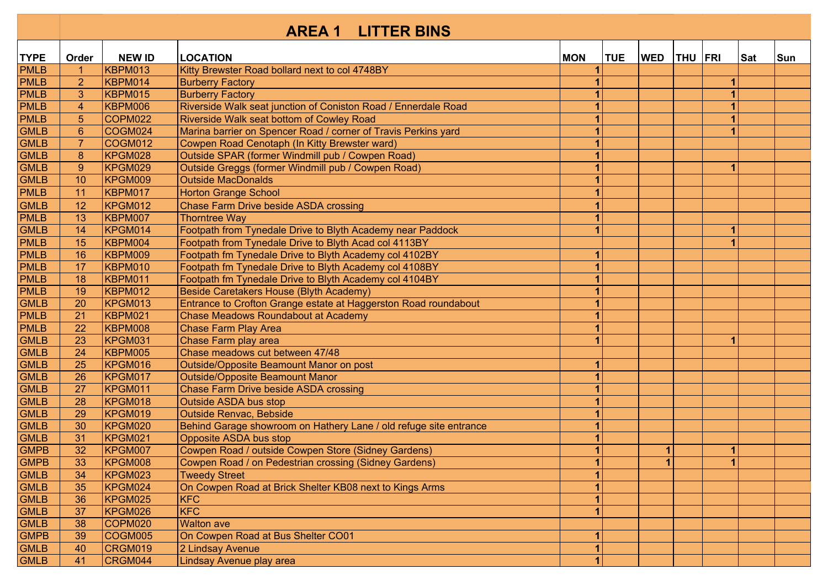|             |                  |                | <b>LITTER BINS</b><br><b>AREA 1</b>                               |              |            |              |         |                |            |     |
|-------------|------------------|----------------|-------------------------------------------------------------------|--------------|------------|--------------|---------|----------------|------------|-----|
| <b>TYPE</b> | Order            | <b>NEW ID</b>  | <b>LOCATION</b>                                                   | <b>MON</b>   | <b>TUE</b> | <b>WED</b>   | THU FRI |                | <b>Sat</b> | Sun |
| <b>PMLB</b> | $\mathbf{1}$     | KBPM013        | Kitty Brewster Road bollard next to col 4748BY                    |              |            |              |         |                |            |     |
| <b>PMLB</b> | $\overline{2}$   | KBPM014        | <b>Burberry Factory</b>                                           |              |            |              |         |                |            |     |
| <b>PMLB</b> | 3                | <b>KBPM015</b> | <b>Burberry Factory</b>                                           |              |            |              |         |                |            |     |
| <b>PMLB</b> | $\overline{4}$   | <b>KBPM006</b> | Riverside Walk seat junction of Coniston Road / Ennerdale Road    |              |            |              |         |                |            |     |
| PMLB        | $\overline{5}$   | COPM022        | Riverside Walk seat bottom of Cowley Road                         | 1            |            |              |         |                |            |     |
| <b>GMLB</b> | $\boldsymbol{6}$ | COGM024        | Marina barrier on Spencer Road / corner of Travis Perkins yard    | 1            |            |              |         |                |            |     |
| <b>GMLB</b> | $\overline{7}$   | COGM012        | Cowpen Road Cenotaph (In Kitty Brewster ward)                     | 1            |            |              |         |                |            |     |
| <b>GMLB</b> | $\overline{8}$   | KPGM028        | Outside SPAR (former Windmill pub / Cowpen Road)                  | 1            |            |              |         |                |            |     |
| <b>GMLB</b> | 9                | KPGM029        | Outside Greggs (former Windmill pub / Cowpen Road)                |              |            |              |         | 1              |            |     |
| <b>GMLB</b> | 10               | KPGM009        | <b>Outside MacDonalds</b>                                         |              |            |              |         |                |            |     |
| <b>PMLB</b> | 11               | KBPM017        | <b>Horton Grange School</b>                                       |              |            |              |         |                |            |     |
| <b>GMLB</b> | 12               | KPGM012        | <b>Chase Farm Drive beside ASDA crossing</b>                      |              |            |              |         |                |            |     |
| <b>PMLB</b> | 13               | <b>KBPM007</b> | <b>Thorntree Way</b>                                              |              |            |              |         |                |            |     |
| <b>GMLB</b> | 14               | KPGM014        | Footpath from Tynedale Drive to Blyth Academy near Paddock        |              |            |              |         | 1              |            |     |
| <b>PMLB</b> | 15               | KBPM004        | Footpath from Tynedale Drive to Blyth Acad col 4113BY             |              |            |              |         |                |            |     |
| <b>PMLB</b> | 16               | <b>KBPM009</b> | Footpath fm Tynedale Drive to Blyth Academy col 4102BY            | 1            |            |              |         |                |            |     |
| <b>PMLB</b> | 17               | <b>KBPM010</b> | Footpath fm Tynedale Drive to Blyth Academy col 4108BY            | $\mathbf 1$  |            |              |         |                |            |     |
| <b>PMLB</b> | 18               | KBPM011        | Footpath fm Tynedale Drive to Blyth Academy col 4104BY            | 1            |            |              |         |                |            |     |
| PMLB        | 19               | <b>KBPM012</b> | Beside Caretakers House (Blyth Academy)                           | 1            |            |              |         |                |            |     |
| <b>GMLB</b> | 20               | KPGM013        | Entrance to Crofton Grange estate at Haggerston Road roundabout   |              |            |              |         |                |            |     |
| PMLB        | 21               | KBPM021        | <b>Chase Meadows Roundabout at Academy</b>                        |              |            |              |         |                |            |     |
| <b>PMLB</b> | 22               | <b>KBPM008</b> | <b>Chase Farm Play Area</b>                                       |              |            |              |         |                |            |     |
| <b>GMLB</b> | 23               | KPGM031        | Chase Farm play area                                              |              |            |              |         |                |            |     |
| <b>GMLB</b> | 24               | <b>KBPM005</b> | Chase meadows cut between 47/48                                   |              |            |              |         |                |            |     |
| <b>GMLB</b> | 25               | KPGM016        | Outside/Opposite Beamount Manor on post                           |              |            |              |         |                |            |     |
| <b>GMLB</b> | 26               | KPGM017        | Outside/Opposite Beamount Manor                                   |              |            |              |         |                |            |     |
| <b>GMLB</b> | 27               | KPGM011        | <b>Chase Farm Drive beside ASDA crossing</b>                      |              |            |              |         |                |            |     |
| <b>GMLB</b> | 28               | KPGM018        | <b>Outside ASDA bus stop</b>                                      |              |            |              |         |                |            |     |
| <b>GMLB</b> | 29               | KPGM019        | <b>Outside Renvac, Bebside</b>                                    | 1            |            |              |         |                |            |     |
| <b>GMLB</b> | 30               | KPGM020        | Behind Garage showroom on Hathery Lane / old refuge site entrance | 1            |            |              |         |                |            |     |
| <b>GMLB</b> | 31               | KPGM021        | <b>Opposite ASDA bus stop</b>                                     |              |            |              |         |                |            |     |
| <b>GMPB</b> | 32               | KPGM007        | Cowpen Road / outside Cowpen Store (Sidney Gardens)               | 1            |            | $\mathbf{1}$ |         | $\blacksquare$ |            |     |
| <b>GMPB</b> | 33               | <b>KPGM008</b> | Cowpen Road / on Pedestrian crossing (Sidney Gardens)             | $\mathbf{1}$ |            | $\mathbf{1}$ |         | $\vert$        |            |     |
| <b>GMLB</b> | 34               | KPGM023        | <b>Tweedy Street</b>                                              |              |            |              |         |                |            |     |
| <b>GMLB</b> | 35               | KPGM024        | On Cowpen Road at Brick Shelter KB08 next to Kings Arms           |              |            |              |         |                |            |     |
| <b>GMLB</b> | 36               | KPGM025        | <b>KFC</b>                                                        |              |            |              |         |                |            |     |
| <b>GMLB</b> | 37               | KPGM026        | <b>KFC</b>                                                        |              |            |              |         |                |            |     |
| <b>GMLB</b> | 38               | COPM020        | <b>Walton ave</b>                                                 |              |            |              |         |                |            |     |
| <b>GMPB</b> | 39               | COGM005        | On Cowpen Road at Bus Shelter CO01                                | 1            |            |              |         |                |            |     |
| <b>GMLB</b> | 40               | CRGM019        | 2 Lindsay Avenue                                                  |              |            |              |         |                |            |     |
| <b>GMLB</b> | 41               | CRGM044        | Lindsay Avenue play area                                          | 1            |            |              |         |                |            |     |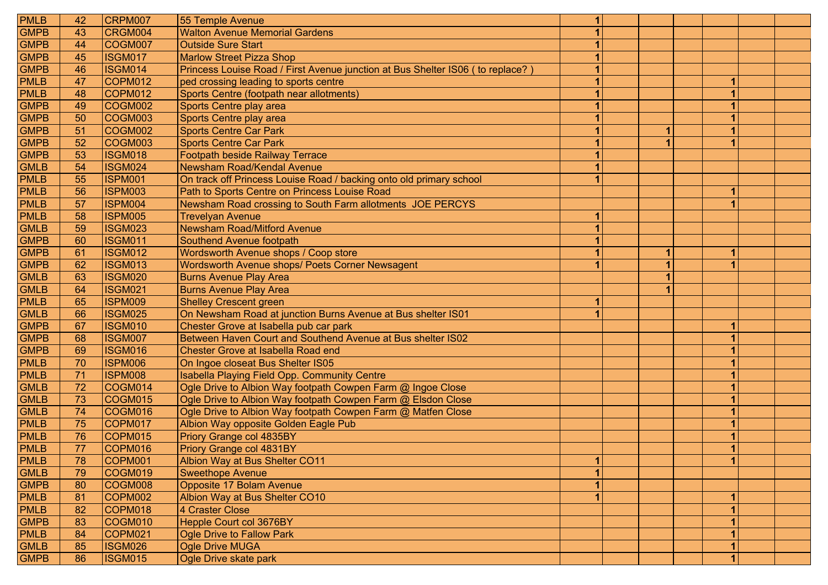| <b>PMLB</b> | 42 | CRPM007        | 55 Temple Avenue                                                                | 1              |   |   |  |
|-------------|----|----------------|---------------------------------------------------------------------------------|----------------|---|---|--|
| <b>GMPB</b> | 43 | CRGM004        | <b>Walton Avenue Memorial Gardens</b>                                           | $\mathbf{1}$   |   |   |  |
| <b>GMPB</b> | 44 | COGM007        | <b>Outside Sure Start</b>                                                       | 1              |   |   |  |
| <b>GMPB</b> | 45 | ISGM017        | <b>Marlow Street Pizza Shop</b>                                                 | 1              |   |   |  |
| <b>GMPB</b> | 46 | ISGM014        | Princess Louise Road / First Avenue junction at Bus Shelter IS06 ( to replace?) | 1              |   |   |  |
| <b>PMLB</b> | 47 | COPM012        | ped crossing leading to sports centre                                           | 1              |   |   |  |
| <b>PMLB</b> | 48 | COPM012        | Sports Centre (footpath near allotments)                                        | 1              |   |   |  |
| <b>GMPB</b> | 49 | COGM002        | Sports Centre play area                                                         | $\overline{1}$ |   |   |  |
| <b>GMPB</b> | 50 | COGM003        | Sports Centre play area                                                         | $\overline{1}$ |   |   |  |
| <b>GMPB</b> | 51 | COGM002        | <b>Sports Centre Car Park</b>                                                   | 1              | 1 |   |  |
| <b>GMPB</b> | 52 | COGM003        | <b>Sports Centre Car Park</b>                                                   | 1              |   |   |  |
| <b>GMPB</b> | 53 | <b>ISGM018</b> | Footpath beside Railway Terrace                                                 | 1              |   |   |  |
| <b>GMLB</b> | 54 | ISGM024        | <b>Newsham Road/Kendal Avenue</b>                                               | 1              |   |   |  |
| <b>PMLB</b> | 55 | <b>ISPM001</b> | On track off Princess Louise Road / backing onto old primary school             | 1              |   |   |  |
| <b>PMLB</b> | 56 | <b>ISPM003</b> | Path to Sports Centre on Princess Louise Road                                   |                |   | 1 |  |
| <b>PMLB</b> | 57 | <b>ISPM004</b> | Newsham Road crossing to South Farm allotments JOE PERCYS                       |                |   |   |  |
| <b>PMLB</b> | 58 | <b>ISPM005</b> | <b>Trevelyan Avenue</b>                                                         | 1              |   |   |  |
| <b>GMLB</b> | 59 | <b>ISGM023</b> | Newsham Road/Mitford Avenue                                                     | 1              |   |   |  |
| <b>GMPB</b> | 60 | <b>ISGM011</b> | Southend Avenue footpath                                                        | 1              |   |   |  |
| <b>GMPB</b> | 61 | ISGM012        | Wordsworth Avenue shops / Coop store                                            | 1              | 1 | 1 |  |
| <b>GMPB</b> | 62 | <b>ISGM013</b> | Wordsworth Avenue shops/ Poets Corner Newsagent                                 | $\overline{1}$ |   |   |  |
| <b>GMLB</b> | 63 | <b>ISGM020</b> | <b>Burns Avenue Play Area</b>                                                   |                |   |   |  |
| <b>GMLB</b> | 64 | <b>ISGM021</b> | <b>Burns Avenue Play Area</b>                                                   |                |   |   |  |
| <b>PMLB</b> | 65 | <b>ISPM009</b> | <b>Shelley Crescent green</b>                                                   | 1              |   |   |  |
| <b>GMLB</b> | 66 | <b>ISGM025</b> | On Newsham Road at junction Burns Avenue at Bus shelter IS01                    |                |   |   |  |
| <b>GMPB</b> | 67 | <b>ISGM010</b> | Chester Grove at Isabella pub car park                                          |                |   |   |  |
| <b>GMPB</b> | 68 | ISGM007        | Between Haven Court and Southend Avenue at Bus shelter IS02                     |                |   |   |  |
| <b>GMPB</b> | 69 | <b>ISGM016</b> | <b>Chester Grove at Isabella Road end</b>                                       |                |   |   |  |
| <b>PMLB</b> | 70 | <b>ISPM006</b> | On Ingoe closeat Bus Shelter IS05                                               |                |   |   |  |
| <b>PMLB</b> | 71 | <b>ISPM008</b> | Isabella Playing Field Opp. Community Centre                                    |                |   |   |  |
| <b>GMLB</b> | 72 | COGM014        | Ogle Drive to Albion Way footpath Cowpen Farm @ Ingoe Close                     |                |   |   |  |
| <b>GMLB</b> | 73 | COGM015        | Ogle Drive to Albion Way footpath Cowpen Farm @ Elsdon Close                    |                |   |   |  |
| <b>GMLB</b> | 74 | COGM016        | Ogle Drive to Albion Way footpath Cowpen Farm @ Matfen Close                    |                |   |   |  |
| <b>PMLB</b> | 75 | COPM017        | Albion Way opposite Golden Eagle Pub                                            |                |   |   |  |
| <b>PMLB</b> | 76 | COPM015        | Priory Grange col 4835BY                                                        |                |   |   |  |
| <b>PMLB</b> | 77 | COPM016        | Priory Grange col 4831BY                                                        |                |   | 1 |  |
| <b>PMLB</b> | 78 | COPM001        | Albion Way at Bus Shelter CO11                                                  | 1              |   | 1 |  |
| <b>GMLB</b> | 79 | COGM019        | <b>Sweethope Avenue</b>                                                         | 1              |   |   |  |
| <b>GMPB</b> | 80 | COGM008        | Opposite 17 Bolam Avenue                                                        | 1              |   |   |  |
| <b>PMLB</b> | 81 | COPM002        | Albion Way at Bus Shelter CO10                                                  | 1              |   |   |  |
| <b>PMLB</b> | 82 | COPM018        | 4 Craster Close                                                                 |                |   |   |  |
| <b>GMPB</b> | 83 | COGM010        | Hepple Court col 3676BY                                                         |                |   |   |  |
| <b>PMLB</b> | 84 | COPM021        | Ogle Drive to Fallow Park                                                       |                |   |   |  |
| <b>GMLB</b> | 85 | <b>ISGM026</b> | <b>Ogle Drive MUGA</b>                                                          |                |   | 1 |  |
| <b>GMPB</b> | 86 | <b>ISGM015</b> | Ogle Drive skate park                                                           |                |   | 1 |  |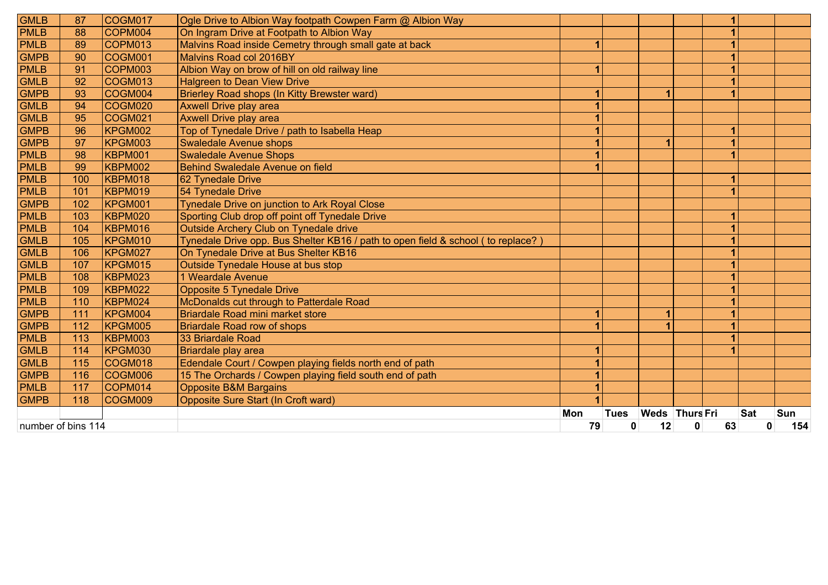| 87  | COGM017                                      | Ogle Drive to Albion Way footpath Cowpen Farm @ Albion Way                                                                                                                                                                                               |                                                                                                                                                                                                                                                                                                                                                                                                               |             |              |   |    |                |                 |
|-----|----------------------------------------------|----------------------------------------------------------------------------------------------------------------------------------------------------------------------------------------------------------------------------------------------------------|---------------------------------------------------------------------------------------------------------------------------------------------------------------------------------------------------------------------------------------------------------------------------------------------------------------------------------------------------------------------------------------------------------------|-------------|--------------|---|----|----------------|-----------------|
| 88  | COPM004                                      | On Ingram Drive at Footpath to Albion Way                                                                                                                                                                                                                |                                                                                                                                                                                                                                                                                                                                                                                                               |             |              |   | 1  |                |                 |
| 89  | COPM013                                      | Malvins Road inside Cemetry through small gate at back                                                                                                                                                                                                   | $\overline{\mathbf{1}}$                                                                                                                                                                                                                                                                                                                                                                                       |             |              |   | 1  |                |                 |
| 90  | COGM001                                      | Malvins Road col 2016BY                                                                                                                                                                                                                                  |                                                                                                                                                                                                                                                                                                                                                                                                               |             |              |   |    |                |                 |
| 91  | COPM003                                      | Albion Way on brow of hill on old railway line                                                                                                                                                                                                           |                                                                                                                                                                                                                                                                                                                                                                                                               |             |              |   |    |                |                 |
| 92  | COGM013                                      | <b>Halgreen to Dean View Drive</b>                                                                                                                                                                                                                       |                                                                                                                                                                                                                                                                                                                                                                                                               |             |              |   |    |                |                 |
| 93  | COGM004                                      | Brierley Road shops (In Kitty Brewster ward)                                                                                                                                                                                                             |                                                                                                                                                                                                                                                                                                                                                                                                               |             | 1            |   | 1  |                |                 |
| 94  |                                              | Axwell Drive play area                                                                                                                                                                                                                                   |                                                                                                                                                                                                                                                                                                                                                                                                               |             |              |   |    |                |                 |
| 95  | COGM021                                      | <b>Axwell Drive play area</b>                                                                                                                                                                                                                            | 1                                                                                                                                                                                                                                                                                                                                                                                                             |             |              |   |    |                |                 |
| 96  | KPGM002                                      |                                                                                                                                                                                                                                                          |                                                                                                                                                                                                                                                                                                                                                                                                               |             |              |   | 1  |                |                 |
| 97  |                                              |                                                                                                                                                                                                                                                          |                                                                                                                                                                                                                                                                                                                                                                                                               |             |              |   |    |                |                 |
|     |                                              |                                                                                                                                                                                                                                                          |                                                                                                                                                                                                                                                                                                                                                                                                               |             |              |   |    |                |                 |
| 99  |                                              |                                                                                                                                                                                                                                                          |                                                                                                                                                                                                                                                                                                                                                                                                               |             |              |   |    |                |                 |
| 100 |                                              | 62 Tynedale Drive                                                                                                                                                                                                                                        |                                                                                                                                                                                                                                                                                                                                                                                                               |             |              |   | 1  |                |                 |
| 101 |                                              | 54 Tynedale Drive                                                                                                                                                                                                                                        |                                                                                                                                                                                                                                                                                                                                                                                                               |             |              |   | 4  |                |                 |
| 102 |                                              | Tynedale Drive on junction to Ark Royal Close                                                                                                                                                                                                            |                                                                                                                                                                                                                                                                                                                                                                                                               |             |              |   |    |                |                 |
| 103 |                                              |                                                                                                                                                                                                                                                          |                                                                                                                                                                                                                                                                                                                                                                                                               |             |              |   |    |                |                 |
| 104 | <b>KBPM016</b>                               | Outside Archery Club on Tynedale drive                                                                                                                                                                                                                   |                                                                                                                                                                                                                                                                                                                                                                                                               |             |              |   |    |                |                 |
| 105 |                                              | Tynedale Drive opp. Bus Shelter KB16 / path to open field & school ( to replace? )                                                                                                                                                                       |                                                                                                                                                                                                                                                                                                                                                                                                               |             |              |   | 1  |                |                 |
| 106 | KPGM027                                      | On Tynedale Drive at Bus Shelter KB16                                                                                                                                                                                                                    |                                                                                                                                                                                                                                                                                                                                                                                                               |             |              |   | 1  |                |                 |
|     |                                              |                                                                                                                                                                                                                                                          |                                                                                                                                                                                                                                                                                                                                                                                                               |             |              |   | 1  |                |                 |
| 108 |                                              | 1 Weardale Avenue                                                                                                                                                                                                                                        |                                                                                                                                                                                                                                                                                                                                                                                                               |             |              |   |    |                |                 |
| 109 |                                              | <b>Opposite 5 Tynedale Drive</b>                                                                                                                                                                                                                         |                                                                                                                                                                                                                                                                                                                                                                                                               |             |              |   |    |                |                 |
|     |                                              |                                                                                                                                                                                                                                                          |                                                                                                                                                                                                                                                                                                                                                                                                               |             |              |   |    |                |                 |
|     |                                              |                                                                                                                                                                                                                                                          | 1                                                                                                                                                                                                                                                                                                                                                                                                             |             | $\mathbf{1}$ |   | 1  |                |                 |
|     |                                              | <b>Briardale Road row of shops</b>                                                                                                                                                                                                                       |                                                                                                                                                                                                                                                                                                                                                                                                               |             |              |   | 1  |                |                 |
| 113 |                                              |                                                                                                                                                                                                                                                          |                                                                                                                                                                                                                                                                                                                                                                                                               |             |              |   |    |                |                 |
|     |                                              | Briardale play area                                                                                                                                                                                                                                      |                                                                                                                                                                                                                                                                                                                                                                                                               |             |              |   |    |                |                 |
|     |                                              |                                                                                                                                                                                                                                                          |                                                                                                                                                                                                                                                                                                                                                                                                               |             |              |   |    |                |                 |
| 116 |                                              | 15 The Orchards / Cowpen playing field south end of path                                                                                                                                                                                                 |                                                                                                                                                                                                                                                                                                                                                                                                               |             |              |   |    |                |                 |
| 117 | COPM014                                      | <b>Opposite B&amp;M Bargains</b>                                                                                                                                                                                                                         |                                                                                                                                                                                                                                                                                                                                                                                                               |             |              |   |    |                |                 |
| 118 | COGM009                                      | Opposite Sure Start (In Croft ward)                                                                                                                                                                                                                      |                                                                                                                                                                                                                                                                                                                                                                                                               |             |              |   |    |                |                 |
|     |                                              |                                                                                                                                                                                                                                                          | Mon                                                                                                                                                                                                                                                                                                                                                                                                           | <b>Tues</b> |              |   |    |                | Sun             |
|     |                                              |                                                                                                                                                                                                                                                          |                                                                                                                                                                                                                                                                                                                                                                                                               | 0           | 12           | 0 | 63 |                | 154             |
|     | 98<br>107<br>110<br>111<br>112<br>114<br>115 | COGM020<br>KPGM003<br><b>KBPM001</b><br>KBPM002<br>KBPM018<br><b>KBPM019</b><br>KPGM001<br>KBPM020<br>KPGM010<br>KPGM015<br>KBPM023<br>KBPM022<br>KBPM024<br>KPGM004<br><b>KPGM005</b><br>KBPM003<br>KPGM030<br>COGM018<br>COGM006<br>number of bins 114 | Top of Tynedale Drive / path to Isabella Heap<br><b>Swaledale Avenue shops</b><br><b>Swaledale Avenue Shops</b><br>Behind Swaledale Avenue on field<br>Sporting Club drop off point off Tynedale Drive<br>Outside Tynedale House at bus stop<br>McDonalds cut through to Patterdale Road<br>Briardale Road mini market store<br>33 Briardale Road<br>Edendale Court / Cowpen playing fields north end of path |             | 79           |   |    | Weds Thurs Fri | <b>Sat</b><br>0 |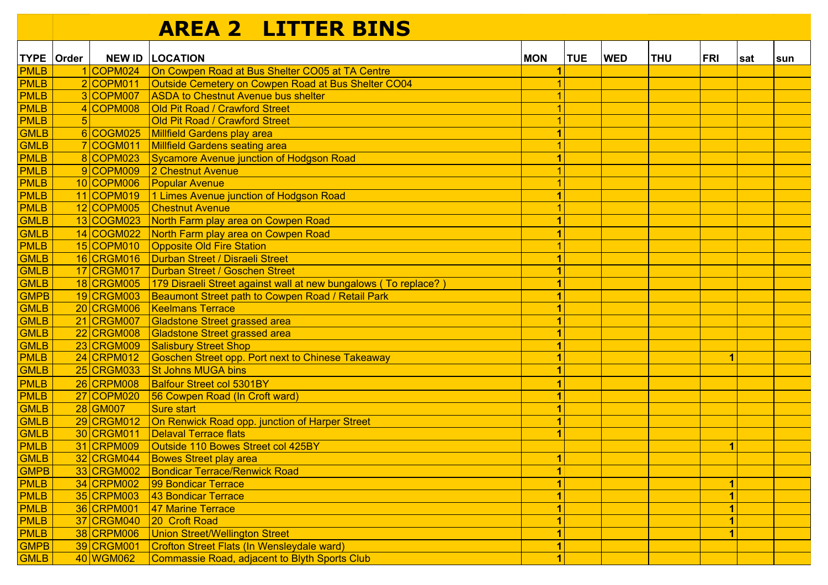## **AREA 2 LITTER BINS**

|                                                                                                                                                                                                                                                                                                                                                   | TYPE   Order |                                                                                                                                                                                                                                                                                                                                                                       | <b>NEW ID   LOCATION</b>                                                                                                                                                                                                                                                                                                                                                                                                                                                                                                                                                                                                                                                                                                                                                                                                                                                                                                                                                                                | <b>MON</b>                                                                                                                                                                                                                                                        | <b>TUE</b> | <b>WED</b> | <b>THU</b> | <b>FRI</b> | ∣sat | sun |
|---------------------------------------------------------------------------------------------------------------------------------------------------------------------------------------------------------------------------------------------------------------------------------------------------------------------------------------------------|--------------|-----------------------------------------------------------------------------------------------------------------------------------------------------------------------------------------------------------------------------------------------------------------------------------------------------------------------------------------------------------------------|---------------------------------------------------------------------------------------------------------------------------------------------------------------------------------------------------------------------------------------------------------------------------------------------------------------------------------------------------------------------------------------------------------------------------------------------------------------------------------------------------------------------------------------------------------------------------------------------------------------------------------------------------------------------------------------------------------------------------------------------------------------------------------------------------------------------------------------------------------------------------------------------------------------------------------------------------------------------------------------------------------|-------------------------------------------------------------------------------------------------------------------------------------------------------------------------------------------------------------------------------------------------------------------|------------|------------|------------|------------|------|-----|
| <b>PMLB</b>                                                                                                                                                                                                                                                                                                                                       |              | 1 COPM024                                                                                                                                                                                                                                                                                                                                                             | On Cowpen Road at Bus Shelter CO05 at TA Centre                                                                                                                                                                                                                                                                                                                                                                                                                                                                                                                                                                                                                                                                                                                                                                                                                                                                                                                                                         |                                                                                                                                                                                                                                                                   |            |            |            |            |      |     |
| <b>PMLB</b>                                                                                                                                                                                                                                                                                                                                       |              | 2 COPM011                                                                                                                                                                                                                                                                                                                                                             | Outside Cemetery on Cowpen Road at Bus Shelter CO04                                                                                                                                                                                                                                                                                                                                                                                                                                                                                                                                                                                                                                                                                                                                                                                                                                                                                                                                                     |                                                                                                                                                                                                                                                                   |            |            |            |            |      |     |
| <b>PMLB</b>                                                                                                                                                                                                                                                                                                                                       |              | 3 COPM007                                                                                                                                                                                                                                                                                                                                                             | <b>ASDA to Chestnut Avenue bus shelter</b>                                                                                                                                                                                                                                                                                                                                                                                                                                                                                                                                                                                                                                                                                                                                                                                                                                                                                                                                                              |                                                                                                                                                                                                                                                                   |            |            |            |            |      |     |
| <b>PMLB</b>                                                                                                                                                                                                                                                                                                                                       |              | 4 COPM008                                                                                                                                                                                                                                                                                                                                                             | Old Pit Road / Crawford Street                                                                                                                                                                                                                                                                                                                                                                                                                                                                                                                                                                                                                                                                                                                                                                                                                                                                                                                                                                          |                                                                                                                                                                                                                                                                   |            |            |            |            |      |     |
| <b>PMLB</b>                                                                                                                                                                                                                                                                                                                                       | 5            |                                                                                                                                                                                                                                                                                                                                                                       | Old Pit Road / Crawford Street                                                                                                                                                                                                                                                                                                                                                                                                                                                                                                                                                                                                                                                                                                                                                                                                                                                                                                                                                                          |                                                                                                                                                                                                                                                                   |            |            |            |            |      |     |
| GMLB                                                                                                                                                                                                                                                                                                                                              |              | 6 COGM025                                                                                                                                                                                                                                                                                                                                                             | <b>Millfield Gardens play area</b>                                                                                                                                                                                                                                                                                                                                                                                                                                                                                                                                                                                                                                                                                                                                                                                                                                                                                                                                                                      | $\overline{1}$                                                                                                                                                                                                                                                    |            |            |            |            |      |     |
| GMLB                                                                                                                                                                                                                                                                                                                                              |              | 7 COGM011                                                                                                                                                                                                                                                                                                                                                             | <b>Millfield Gardens seating area</b>                                                                                                                                                                                                                                                                                                                                                                                                                                                                                                                                                                                                                                                                                                                                                                                                                                                                                                                                                                   |                                                                                                                                                                                                                                                                   |            |            |            |            |      |     |
| <b>PMLB</b>                                                                                                                                                                                                                                                                                                                                       |              | 8 COPM023                                                                                                                                                                                                                                                                                                                                                             | Sycamore Avenue junction of Hodgson Road                                                                                                                                                                                                                                                                                                                                                                                                                                                                                                                                                                                                                                                                                                                                                                                                                                                                                                                                                                | $\overline{\mathbf{1}}$                                                                                                                                                                                                                                           |            |            |            |            |      |     |
| PMLB                                                                                                                                                                                                                                                                                                                                              |              | 9 COPM009                                                                                                                                                                                                                                                                                                                                                             | 2 Chestnut Avenue                                                                                                                                                                                                                                                                                                                                                                                                                                                                                                                                                                                                                                                                                                                                                                                                                                                                                                                                                                                       |                                                                                                                                                                                                                                                                   |            |            |            |            |      |     |
| PMLB                                                                                                                                                                                                                                                                                                                                              |              | $10 $ COPM006                                                                                                                                                                                                                                                                                                                                                         | <b>Popular Avenue</b>                                                                                                                                                                                                                                                                                                                                                                                                                                                                                                                                                                                                                                                                                                                                                                                                                                                                                                                                                                                   | $\mathbf{1}$                                                                                                                                                                                                                                                      |            |            |            |            |      |     |
| <b>PMLB</b>                                                                                                                                                                                                                                                                                                                                       |              | $11 $ COPM019                                                                                                                                                                                                                                                                                                                                                         | 1 Limes Avenue junction of Hodgson Road                                                                                                                                                                                                                                                                                                                                                                                                                                                                                                                                                                                                                                                                                                                                                                                                                                                                                                                                                                 | $\blacksquare$                                                                                                                                                                                                                                                    |            |            |            |            |      |     |
| <b>PMLB</b>                                                                                                                                                                                                                                                                                                                                       |              | 12 COPM005                                                                                                                                                                                                                                                                                                                                                            | <b>Chestnut Avenue</b>                                                                                                                                                                                                                                                                                                                                                                                                                                                                                                                                                                                                                                                                                                                                                                                                                                                                                                                                                                                  |                                                                                                                                                                                                                                                                   |            |            |            |            |      |     |
| <b>GMLB</b>                                                                                                                                                                                                                                                                                                                                       |              | 13 COGM023                                                                                                                                                                                                                                                                                                                                                            | North Farm play area on Cowpen Road                                                                                                                                                                                                                                                                                                                                                                                                                                                                                                                                                                                                                                                                                                                                                                                                                                                                                                                                                                     | $\overline{1}$                                                                                                                                                                                                                                                    |            |            |            |            |      |     |
| <b>GMLB</b>                                                                                                                                                                                                                                                                                                                                       |              | 14 COGM022                                                                                                                                                                                                                                                                                                                                                            | North Farm play area on Cowpen Road                                                                                                                                                                                                                                                                                                                                                                                                                                                                                                                                                                                                                                                                                                                                                                                                                                                                                                                                                                     |                                                                                                                                                                                                                                                                   |            |            |            |            |      |     |
|                                                                                                                                                                                                                                                                                                                                                   |              |                                                                                                                                                                                                                                                                                                                                                                       |                                                                                                                                                                                                                                                                                                                                                                                                                                                                                                                                                                                                                                                                                                                                                                                                                                                                                                                                                                                                         |                                                                                                                                                                                                                                                                   |            |            |            |            |      |     |
|                                                                                                                                                                                                                                                                                                                                                   |              |                                                                                                                                                                                                                                                                                                                                                                       |                                                                                                                                                                                                                                                                                                                                                                                                                                                                                                                                                                                                                                                                                                                                                                                                                                                                                                                                                                                                         |                                                                                                                                                                                                                                                                   |            |            |            |            |      |     |
|                                                                                                                                                                                                                                                                                                                                                   |              |                                                                                                                                                                                                                                                                                                                                                                       |                                                                                                                                                                                                                                                                                                                                                                                                                                                                                                                                                                                                                                                                                                                                                                                                                                                                                                                                                                                                         |                                                                                                                                                                                                                                                                   |            |            |            |            |      |     |
|                                                                                                                                                                                                                                                                                                                                                   |              |                                                                                                                                                                                                                                                                                                                                                                       |                                                                                                                                                                                                                                                                                                                                                                                                                                                                                                                                                                                                                                                                                                                                                                                                                                                                                                                                                                                                         |                                                                                                                                                                                                                                                                   |            |            |            |            |      |     |
|                                                                                                                                                                                                                                                                                                                                                   |              |                                                                                                                                                                                                                                                                                                                                                                       |                                                                                                                                                                                                                                                                                                                                                                                                                                                                                                                                                                                                                                                                                                                                                                                                                                                                                                                                                                                                         |                                                                                                                                                                                                                                                                   |            |            |            |            |      |     |
|                                                                                                                                                                                                                                                                                                                                                   |              |                                                                                                                                                                                                                                                                                                                                                                       |                                                                                                                                                                                                                                                                                                                                                                                                                                                                                                                                                                                                                                                                                                                                                                                                                                                                                                                                                                                                         |                                                                                                                                                                                                                                                                   |            |            |            |            |      |     |
|                                                                                                                                                                                                                                                                                                                                                   |              |                                                                                                                                                                                                                                                                                                                                                                       |                                                                                                                                                                                                                                                                                                                                                                                                                                                                                                                                                                                                                                                                                                                                                                                                                                                                                                                                                                                                         |                                                                                                                                                                                                                                                                   |            |            |            |            |      |     |
|                                                                                                                                                                                                                                                                                                                                                   |              |                                                                                                                                                                                                                                                                                                                                                                       |                                                                                                                                                                                                                                                                                                                                                                                                                                                                                                                                                                                                                                                                                                                                                                                                                                                                                                                                                                                                         |                                                                                                                                                                                                                                                                   |            |            |            |            |      |     |
|                                                                                                                                                                                                                                                                                                                                                   |              |                                                                                                                                                                                                                                                                                                                                                                       |                                                                                                                                                                                                                                                                                                                                                                                                                                                                                                                                                                                                                                                                                                                                                                                                                                                                                                                                                                                                         |                                                                                                                                                                                                                                                                   |            |            |            |            |      |     |
|                                                                                                                                                                                                                                                                                                                                                   |              |                                                                                                                                                                                                                                                                                                                                                                       |                                                                                                                                                                                                                                                                                                                                                                                                                                                                                                                                                                                                                                                                                                                                                                                                                                                                                                                                                                                                         |                                                                                                                                                                                                                                                                   |            |            |            | 1          |      |     |
|                                                                                                                                                                                                                                                                                                                                                   |              |                                                                                                                                                                                                                                                                                                                                                                       |                                                                                                                                                                                                                                                                                                                                                                                                                                                                                                                                                                                                                                                                                                                                                                                                                                                                                                                                                                                                         |                                                                                                                                                                                                                                                                   |            |            |            |            |      |     |
|                                                                                                                                                                                                                                                                                                                                                   |              |                                                                                                                                                                                                                                                                                                                                                                       |                                                                                                                                                                                                                                                                                                                                                                                                                                                                                                                                                                                                                                                                                                                                                                                                                                                                                                                                                                                                         |                                                                                                                                                                                                                                                                   |            |            |            |            |      |     |
|                                                                                                                                                                                                                                                                                                                                                   |              |                                                                                                                                                                                                                                                                                                                                                                       |                                                                                                                                                                                                                                                                                                                                                                                                                                                                                                                                                                                                                                                                                                                                                                                                                                                                                                                                                                                                         |                                                                                                                                                                                                                                                                   |            |            |            |            |      |     |
|                                                                                                                                                                                                                                                                                                                                                   |              |                                                                                                                                                                                                                                                                                                                                                                       |                                                                                                                                                                                                                                                                                                                                                                                                                                                                                                                                                                                                                                                                                                                                                                                                                                                                                                                                                                                                         |                                                                                                                                                                                                                                                                   |            |            |            |            |      |     |
|                                                                                                                                                                                                                                                                                                                                                   |              |                                                                                                                                                                                                                                                                                                                                                                       |                                                                                                                                                                                                                                                                                                                                                                                                                                                                                                                                                                                                                                                                                                                                                                                                                                                                                                                                                                                                         |                                                                                                                                                                                                                                                                   |            |            |            |            |      |     |
|                                                                                                                                                                                                                                                                                                                                                   |              |                                                                                                                                                                                                                                                                                                                                                                       |                                                                                                                                                                                                                                                                                                                                                                                                                                                                                                                                                                                                                                                                                                                                                                                                                                                                                                                                                                                                         |                                                                                                                                                                                                                                                                   |            |            |            |            |      |     |
|                                                                                                                                                                                                                                                                                                                                                   |              |                                                                                                                                                                                                                                                                                                                                                                       |                                                                                                                                                                                                                                                                                                                                                                                                                                                                                                                                                                                                                                                                                                                                                                                                                                                                                                                                                                                                         |                                                                                                                                                                                                                                                                   |            |            |            | 1          |      |     |
|                                                                                                                                                                                                                                                                                                                                                   |              |                                                                                                                                                                                                                                                                                                                                                                       |                                                                                                                                                                                                                                                                                                                                                                                                                                                                                                                                                                                                                                                                                                                                                                                                                                                                                                                                                                                                         |                                                                                                                                                                                                                                                                   |            |            |            |            |      |     |
|                                                                                                                                                                                                                                                                                                                                                   |              |                                                                                                                                                                                                                                                                                                                                                                       |                                                                                                                                                                                                                                                                                                                                                                                                                                                                                                                                                                                                                                                                                                                                                                                                                                                                                                                                                                                                         |                                                                                                                                                                                                                                                                   |            |            |            |            |      |     |
|                                                                                                                                                                                                                                                                                                                                                   |              |                                                                                                                                                                                                                                                                                                                                                                       |                                                                                                                                                                                                                                                                                                                                                                                                                                                                                                                                                                                                                                                                                                                                                                                                                                                                                                                                                                                                         |                                                                                                                                                                                                                                                                   |            |            |            |            |      |     |
|                                                                                                                                                                                                                                                                                                                                                   |              |                                                                                                                                                                                                                                                                                                                                                                       |                                                                                                                                                                                                                                                                                                                                                                                                                                                                                                                                                                                                                                                                                                                                                                                                                                                                                                                                                                                                         |                                                                                                                                                                                                                                                                   |            |            |            |            |      |     |
|                                                                                                                                                                                                                                                                                                                                                   |              |                                                                                                                                                                                                                                                                                                                                                                       |                                                                                                                                                                                                                                                                                                                                                                                                                                                                                                                                                                                                                                                                                                                                                                                                                                                                                                                                                                                                         |                                                                                                                                                                                                                                                                   |            |            |            |            |      |     |
|                                                                                                                                                                                                                                                                                                                                                   |              |                                                                                                                                                                                                                                                                                                                                                                       |                                                                                                                                                                                                                                                                                                                                                                                                                                                                                                                                                                                                                                                                                                                                                                                                                                                                                                                                                                                                         |                                                                                                                                                                                                                                                                   |            |            |            |            |      |     |
|                                                                                                                                                                                                                                                                                                                                                   |              |                                                                                                                                                                                                                                                                                                                                                                       |                                                                                                                                                                                                                                                                                                                                                                                                                                                                                                                                                                                                                                                                                                                                                                                                                                                                                                                                                                                                         |                                                                                                                                                                                                                                                                   |            |            |            |            |      |     |
|                                                                                                                                                                                                                                                                                                                                                   |              |                                                                                                                                                                                                                                                                                                                                                                       |                                                                                                                                                                                                                                                                                                                                                                                                                                                                                                                                                                                                                                                                                                                                                                                                                                                                                                                                                                                                         |                                                                                                                                                                                                                                                                   |            |            |            |            |      |     |
|                                                                                                                                                                                                                                                                                                                                                   |              |                                                                                                                                                                                                                                                                                                                                                                       |                                                                                                                                                                                                                                                                                                                                                                                                                                                                                                                                                                                                                                                                                                                                                                                                                                                                                                                                                                                                         |                                                                                                                                                                                                                                                                   |            |            |            |            |      |     |
| <b>PMLB</b><br><b>GMLB</b><br><b>GMLB</b><br><b>GMLB</b><br><b>GMPB</b><br><b>GMLB</b><br><b>GMLB</b><br><b>GMLB</b><br>GMLB<br>PMLB<br><b>GMLB</b><br>PMLB<br><b>PMLB</b><br><b>GMLB</b><br><b>GMLB</b><br><b>GMLB</b><br>PMLB<br><b>GMLB</b><br><b>GMPB</b><br>PMLB<br>PMLB<br>PMLB<br><b>PMLB</b><br><b>PMLB</b><br><b>GMPB</b><br><b>GMLB</b> |              | 15 COPM010<br>16 CRGM016<br>17 CRGM017<br>18 CRGM005<br>19 CRGM003<br>20 CRGM006<br>21 CRGM007<br>22 CRGM008<br>23 CRGM009<br>24 CRPM012<br>25 CRGM033<br>26 CRPM008<br>27 COPM020<br>28 GM007<br>29 CRGM012<br>30 CRGM011<br>31 CRPM009<br>32 CRGM044<br>33 CRGM002<br>34 CRPM002<br>35 CRPM003<br>36 CRPM001<br>37 CRGM040<br>38 CRPM006<br>39 CRGM001<br>40 WGM062 | <b>Opposite Old Fire Station</b><br>Durban Street / Disraeli Street<br>Durban Street / Goschen Street<br>179 Disraeli Street against wall at new bungalows (To replace?)<br>Beaumont Street path to Cowpen Road / Retail Park<br><b>Keelmans Terrace</b><br><b>Gladstone Street grassed area</b><br><b>Gladstone Street grassed area</b><br><b>Salisbury Street Shop</b><br><b>Goschen Street opp. Port next to Chinese Takeaway</b><br><b>St Johns MUGA bins</b><br><b>Balfour Street col 5301BY</b><br>56 Cowpen Road (In Croft ward)<br><b>Sure start</b><br>On Renwick Road opp. junction of Harper Street<br><b>Delaval Terrace flats</b><br>Outside 110 Bowes Street col 425BY<br><b>Bowes Street play area</b><br><b>Bondicar Terrace/Renwick Road</b><br>99 Bondicar Terrace<br>43 Bondicar Terrace<br>47 Marine Terrace<br>20 Croft Road<br><b>Union Street/Wellington Street</b><br><b>Crofton Street Flats (In Wensleydale ward)</b><br><b>Commassie Road, adjacent to Blyth Sports Club</b> | $\mathbf{1}$<br>$\blacksquare$<br>1<br>$\overline{1}$<br>$\overline{1}$<br>1<br>$\blacksquare$<br>$\overline{1}$<br>$\mathbf{1}$<br>$\overline{1}$<br>$\mathbf{1}$<br>1<br>$\mathbf{1}$<br>$\overline{1}$<br>$\mathbf{1}$<br>$\vert$<br>$\vert$<br>1 <sup>1</sup> |            |            |            |            |      |     |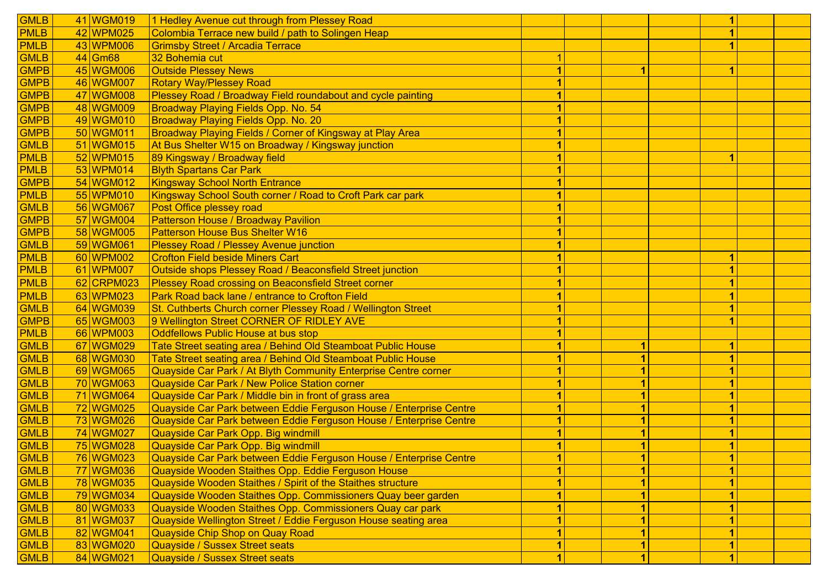| <b>GMLB</b> | 41 WGM019  | 1 Hedley Avenue cut through from Plessey Road                      |  |  |    |  |
|-------------|------------|--------------------------------------------------------------------|--|--|----|--|
| <b>PMLB</b> | 42 WPM025  | Colombia Terrace new build / path to Solingen Heap                 |  |  |    |  |
| <b>PMLB</b> | 43 WPM006  | <b>Grimsby Street / Arcadia Terrace</b>                            |  |  |    |  |
| <b>GMLB</b> | 44 Gm68    | 32 Bohemia cut                                                     |  |  |    |  |
| <b>GMPB</b> | 45 WGM006  | <b>Outside Plessey News</b>                                        |  |  | 1  |  |
| <b>GMPB</b> | 46 WGM007  | <b>Rotary Way/Plessey Road</b>                                     |  |  |    |  |
| <b>GMPB</b> | 47 WGM008  | Plessey Road / Broadway Field roundabout and cycle painting        |  |  |    |  |
| <b>GMPB</b> | 48 WGM009  | Broadway Playing Fields Opp. No. 54                                |  |  |    |  |
| <b>GMPB</b> | 49 WGM010  | Broadway Playing Fields Opp. No. 20                                |  |  |    |  |
| <b>GMPB</b> | 50 WGM011  | Broadway Playing Fields / Corner of Kingsway at Play Area          |  |  |    |  |
| <b>GMLB</b> | 51 WGM015  | At Bus Shelter W15 on Broadway / Kingsway junction                 |  |  |    |  |
| <b>PMLB</b> | 52 WPM015  | 89 Kingsway / Broadway field                                       |  |  | 1  |  |
| <b>PMLB</b> | 53 WPM014  | <b>Blyth Spartans Car Park</b>                                     |  |  |    |  |
| <b>GMPB</b> | 54 WGM012  | <b>Kingsway School North Entrance</b>                              |  |  |    |  |
| <b>PMLB</b> | 55 WPM010  | Kingsway School South corner / Road to Croft Park car park         |  |  |    |  |
| <b>GMLB</b> | 56 WGM067  | Post Office plessey road                                           |  |  |    |  |
| <b>GMPB</b> | 57 WGM004  | <b>Patterson House / Broadway Pavilion</b>                         |  |  |    |  |
| <b>GMPB</b> | 58 WGM005  | <b>Patterson House Bus Shelter W16</b>                             |  |  |    |  |
| <b>GMLB</b> | 59 WGM061  | <b>Plessey Road / Plessey Avenue junction</b>                      |  |  |    |  |
| <b>PMLB</b> | 60 WPM002  | <b>Crofton Field beside Miners Cart</b>                            |  |  |    |  |
| <b>PMLB</b> | 61 WPM007  | Outside shops Plessey Road / Beaconsfield Street junction          |  |  |    |  |
| <b>PMLB</b> | 62 CRPM023 | Plessey Road crossing on Beaconsfield Street corner                |  |  |    |  |
| <b>PMLB</b> | 63 WPM023  | Park Road back lane / entrance to Crofton Field                    |  |  |    |  |
| <b>GMLB</b> | 64 WGM039  | St. Cuthberts Church corner Plessey Road / Wellington Street       |  |  |    |  |
| <b>GMPB</b> | 65 WGM003  | 9 Wellington Street CORNER OF RIDLEY AVE                           |  |  |    |  |
| <b>PMLB</b> | 66 WPM003  | <b>Oddfellows Public House at bus stop</b>                         |  |  |    |  |
| <b>GMLB</b> | 67 WGM029  | Tate Street seating area / Behind Old Steamboat Public House       |  |  |    |  |
| <b>GMLB</b> | 68 WGM030  | Tate Street seating area / Behind Old Steamboat Public House       |  |  |    |  |
| <b>GMLB</b> | 69 WGM065  | Quayside Car Park / At Blyth Community Enterprise Centre corner    |  |  |    |  |
| <b>GMLB</b> | 70 WGM063  | <b>Quayside Car Park / New Police Station corner</b>               |  |  |    |  |
| <b>GMLB</b> | 71 WGM064  | Quayside Car Park / Middle bin in front of grass area              |  |  |    |  |
| <b>GMLB</b> | 72 WGM025  | Quayside Car Park between Eddie Ferguson House / Enterprise Centre |  |  |    |  |
| <b>GMLB</b> | 73 WGM026  | Quayside Car Park between Eddie Ferguson House / Enterprise Centre |  |  |    |  |
| <b>GMLB</b> | 74 WGM027  | Quayside Car Park Opp. Big windmill                                |  |  |    |  |
| <b>GMLB</b> | 75 WGM028  | Quayside Car Park Opp. Big windmill                                |  |  |    |  |
| <b>GMLB</b> | 76 WGM023  | Quayside Car Park between Eddie Ferguson House / Enterprise Centre |  |  | 1. |  |
| <b>GMLB</b> | 77 WGM036  | Quayside Wooden Staithes Opp. Eddie Ferguson House                 |  |  |    |  |
| <b>GMLB</b> | 78 WGM035  | Quayside Wooden Staithes / Spirit of the Staithes structure        |  |  |    |  |
| <b>GMLB</b> | 79 WGM034  | Quayside Wooden Staithes Opp. Commissioners Quay beer garden       |  |  |    |  |
| <b>GMLB</b> | 80 WGM033  | Quayside Wooden Staithes Opp. Commissioners Quay car park          |  |  |    |  |
| <b>GMLB</b> | 81 WGM037  | Quayside Wellington Street / Eddie Ferguson House seating area     |  |  |    |  |
| <b>GMLB</b> | 82 WGM041  | Quayside Chip Shop on Quay Road                                    |  |  |    |  |
| <b>GMLB</b> | 83 WGM020  | <b>Quayside / Sussex Street seats</b>                              |  |  |    |  |
| <b>GMLB</b> | 84 WGM021  | <b>Quayside / Sussex Street seats</b>                              |  |  |    |  |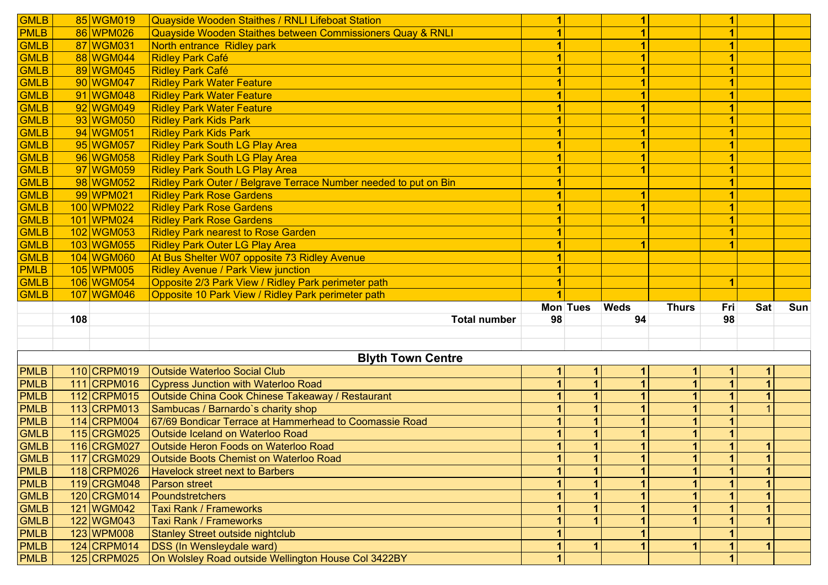| <b>GMLB</b>                |     | 85 WGM019     | Quayside Wooden Staithes / RNLI Lifeboat Station                 | 1  |          | 1           |              | 1   |                      |     |
|----------------------------|-----|---------------|------------------------------------------------------------------|----|----------|-------------|--------------|-----|----------------------|-----|
| <b>PMLB</b>                |     | 86 WPM026     | Quayside Wooden Staithes between Commissioners Quay & RNLI       |    |          |             |              |     |                      |     |
| <b>GMLB</b>                |     | 87 WGM031     | North entrance Ridley park                                       |    |          |             |              |     |                      |     |
| <b>GMLB</b>                |     | 88 WGM044     | <b>Ridley Park Café</b>                                          |    |          |             |              |     |                      |     |
| <b>GMLB</b>                |     | 89 WGM045     | <b>Ridley Park Café</b>                                          |    |          |             |              |     |                      |     |
| GMLB                       |     | 90 WGM047     | <b>Ridley Park Water Feature</b>                                 |    |          |             |              |     |                      |     |
| <b>GMLB</b>                |     | 91 WGM048     | <b>Ridley Park Water Feature</b>                                 |    |          |             |              |     |                      |     |
| <b>GMLB</b>                |     | 92 WGM049     | <b>Ridley Park Water Feature</b>                                 |    |          |             |              |     |                      |     |
| <b>GMLB</b>                |     | 93 WGM050     | <b>Ridley Park Kids Park</b>                                     |    |          |             |              |     |                      |     |
| <b>GMLB</b>                |     | 94 WGM051     | <b>Ridley Park Kids Park</b>                                     |    |          |             |              |     |                      |     |
| <b>GMLB</b>                |     | 95 WGM057     | <b>Ridley Park South LG Play Area</b>                            |    |          |             |              |     |                      |     |
| <b>GMLB</b>                |     | 96 WGM058     | <b>Ridley Park South LG Play Area</b>                            |    |          |             |              |     |                      |     |
| <b>GMLB</b>                |     | 97 WGM059     | <b>Ridley Park South LG Play Area</b>                            |    |          |             |              |     |                      |     |
| <b>GMLB</b>                |     | 98 WGM052     | Ridley Park Outer / Belgrave Terrace Number needed to put on Bin |    |          |             |              |     |                      |     |
| GMLB                       |     | 99 WPM021     | <b>Ridley Park Rose Gardens</b>                                  |    |          | 1           |              |     |                      |     |
| <b>GMLB</b>                |     | 100 WPM022    | <b>Ridley Park Rose Gardens</b>                                  |    |          |             |              |     |                      |     |
| <b>GMLB</b>                |     | 101 WPM024    | <b>Ridley Park Rose Gardens</b>                                  |    |          |             |              |     |                      |     |
| <b>GMLB</b>                |     | 102 WGM053    | <b>Ridley Park nearest to Rose Garden</b>                        |    |          |             |              |     |                      |     |
| <b>GMLB</b>                |     | 103 WGM055    | <b>Ridley Park Outer LG Play Area</b>                            |    |          |             |              |     |                      |     |
| <b>GMLB</b>                |     | 104 WGM060    | At Bus Shelter W07 opposite 73 Ridley Avenue                     |    |          |             |              |     |                      |     |
| <b>PMLB</b>                |     | 105 WPM005    | Ridley Avenue / Park View junction                               |    |          |             |              |     |                      |     |
| <b>GMLB</b>                |     | 106 WGM054    | Opposite 2/3 Park View / Ridley Park perimeter path              |    |          |             |              | 1   |                      |     |
|                            |     |               |                                                                  |    |          |             |              |     |                      |     |
|                            |     |               |                                                                  |    |          |             |              |     |                      |     |
| <b>GMLB</b>                |     | 107 WGM046    | Opposite 10 Park View / Ridley Park perimeter path               |    | Mon Tues | <b>Weds</b> | <b>Thurs</b> | Fri | Sat                  | Sun |
|                            | 108 |               | <b>Total number</b>                                              | 98 |          | 94          |              | 98  |                      |     |
|                            |     |               |                                                                  |    |          |             |              |     |                      |     |
|                            |     |               |                                                                  |    |          |             |              |     |                      |     |
|                            |     |               | <b>Blyth Town Centre</b>                                         |    |          |             |              |     |                      |     |
| <b>PMLB</b>                |     | 110 CRPM019   | <b>Outside Waterloo Social Club</b>                              | 1  | 1        | 1.          |              | 1.  | 1                    |     |
| <b>PMLB</b>                |     | 111 CRPM016   | Cypress Junction with Waterloo Road                              |    |          |             |              |     | $\overline{1}$       |     |
| <b>PMLB</b>                |     | 112 CRPM015   | Outside China Cook Chinese Takeaway / Restaurant                 |    |          |             |              |     | $\blacktriangleleft$ |     |
| <b>PMLB</b>                |     | 113 CRPM013   | Sambucas / Barnardo's charity shop                               |    |          |             |              |     |                      |     |
| <b>PMLB</b>                |     | 114 CRPM004   | 67/69 Bondicar Terrace at Hammerhead to Coomassie Road           |    |          |             |              |     |                      |     |
| <b>GMLB</b>                |     | 115 CRGM025   | Outside Iceland on Waterloo Road                                 |    |          |             |              |     |                      |     |
| <b>GMLB</b>                |     | 116 CRGM027   | Outside Heron Foods on Waterloo Road                             |    |          |             |              |     | $\overline{1}$       |     |
|                            |     | 117 CRGM029   | Outside Boots Chemist on Waterloo Road                           |    |          |             |              |     | 1                    |     |
| <b>GMLB</b><br><b>PMLB</b> |     | 118 CRPM026   | <b>Havelock street next to Barbers</b>                           |    |          |             |              |     |                      |     |
| <b>PMLB</b>                |     | 119 CRGM048   | Parson street                                                    |    |          |             |              |     |                      |     |
| <b>GMLB</b>                |     | 120 CRGM014   | Poundstretchers                                                  |    |          |             |              |     |                      |     |
| <b>GMLB</b>                |     | 121 WGM042    | Taxi Rank / Frameworks                                           |    |          |             |              |     |                      |     |
|                            |     | 122 WGM043    | <b>Taxi Rank / Frameworks</b>                                    |    |          |             |              |     |                      |     |
| <b>GMLB</b><br><b>PMLB</b> |     | 123 WPM008    | <b>Stanley Street outside nightclub</b>                          |    |          |             |              |     |                      |     |
| PMLB                       |     | $124$ CRPM014 | <b>DSS</b> (In Wensleydale ward)                                 |    |          |             |              |     | 1                    |     |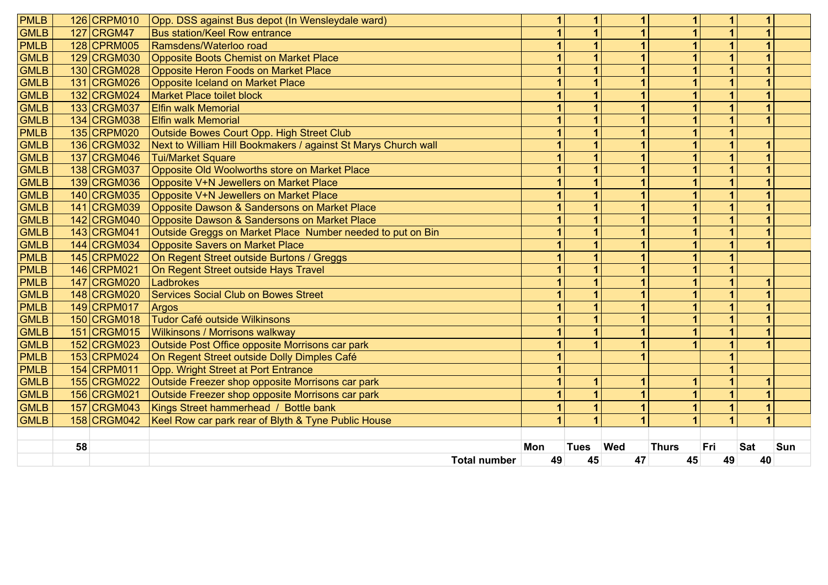| <b>PMLB</b> |    | 126 CRPM010 | Opp. DSS against Bus depot (In Wensleydale ward)               | 1   | 1                       |     |              |     |                         |     |
|-------------|----|-------------|----------------------------------------------------------------|-----|-------------------------|-----|--------------|-----|-------------------------|-----|
| <b>GMLB</b> |    | 127 CRGM47  | <b>Bus station/Keel Row entrance</b>                           |     |                         |     |              |     |                         |     |
| <b>PMLB</b> |    | 128 CPRM005 | Ramsdens/Waterloo road                                         |     | $\overline{\mathbf{1}}$ |     |              |     |                         |     |
| <b>GMLB</b> |    | 129 CRGM030 | <b>Opposite Boots Chemist on Market Place</b>                  | 1   | $\overline{\mathbf{1}}$ |     | 1            |     |                         |     |
| <b>GMLB</b> |    | 130 CRGM028 | Opposite Heron Foods on Market Place                           | 1   | 1                       |     | 1            |     |                         |     |
| GMLB        |    | 131 CRGM026 | Opposite Iceland on Market Place                               |     | $\overline{\mathbf{1}}$ |     |              |     |                         |     |
| GMLB        |    | 132 CRGM024 | <b>Market Place toilet block</b>                               |     | $\overline{\mathbf{1}}$ |     |              |     | $\overline{\mathbf{A}}$ |     |
| <b>GMLB</b> |    | 133 CRGM037 | <b>Elfin walk Memorial</b>                                     |     | $\overline{1}$          |     | 4            |     |                         |     |
| <b>GMLB</b> |    | 134 CRGM038 | <b>Elfin walk Memorial</b>                                     |     | $\overline{\mathbf{1}}$ |     | 4            |     |                         |     |
| <b>PMLB</b> |    | 135 CRPM020 | Outside Bowes Court Opp. High Street Club                      |     | $\mathbf{1}$            |     |              |     |                         |     |
| <b>GMLB</b> |    | 136 CRGM032 | Next to William Hill Bookmakers / against St Marys Church wall |     | $\overline{\mathbf{1}}$ |     |              |     |                         |     |
| GMLB        |    | 137 CRGM046 | <b>Tui/Market Square</b>                                       |     | $\overline{1}$          |     | 1            |     |                         |     |
| <b>GMLB</b> |    | 138 CRGM037 | Opposite Old Woolworths store on Market Place                  | 1   | $\overline{1}$          |     | 1            |     |                         |     |
| GMLB        |    | 139 CRGM036 | Opposite V+N Jewellers on Market Place                         |     | 1                       |     |              |     |                         |     |
| <b>GMLB</b> |    | 140 CRGM035 | Opposite V+N Jewellers on Market Place                         |     | $\overline{1}$          |     |              |     |                         |     |
| <b>GMLB</b> |    | 141 CRGM039 | Opposite Dawson & Sandersons on Market Place                   |     | $\overline{1}$          |     |              |     |                         |     |
| <b>GMLB</b> |    | 142 CRGM040 | Opposite Dawson & Sandersons on Market Place                   |     | $\overline{\mathbf{1}}$ |     |              |     |                         |     |
| <b>GMLB</b> |    | 143 CRGM041 | Outside Greggs on Market Place Number needed to put on Bin     | 1   | 1                       |     |              |     |                         |     |
| <b>GMLB</b> |    | 144 CRGM034 | <b>Opposite Savers on Market Place</b>                         |     | 1                       |     |              |     |                         |     |
| <b>PMLB</b> |    | 145 CRPM022 | On Regent Street outside Burtons / Greggs                      |     | $\overline{1}$          |     |              |     |                         |     |
| <b>PMLB</b> |    | 146 CRPM021 | On Regent Street outside Hays Travel                           |     | 1                       |     |              |     |                         |     |
| <b>PMLB</b> |    | 147 CRGM020 | Ladbrokes                                                      | 1   | $\overline{1}$          |     | 1            |     |                         |     |
| <b>GMLB</b> |    | 148 CRGM020 | <b>Services Social Club on Bowes Street</b>                    |     | 1                       | 1   | 1            |     |                         |     |
| <b>PMLB</b> |    | 149 CRPM017 | Argos                                                          |     | $\mathbf{1}$            |     | 1            |     |                         |     |
| <b>GMLB</b> |    | 150 CRGM018 | <b>Tudor Café outside Wilkinsons</b>                           |     | $\mathbf{1}$            |     | 1            |     | 1                       |     |
| <b>GMLB</b> |    | 151 CRGM015 | Wilkinsons / Morrisons walkway                                 |     | $\mathbf{1}$            |     | 1            |     | 1                       |     |
| <b>GMLB</b> |    | 152 CRGM023 | Outside Post Office opposite Morrisons car park                | 4   | $\blacktriangleleft$    |     |              |     |                         |     |
| PMLB        |    | 153 CRPM024 | On Regent Street outside Dolly Dimples Café                    | 4   |                         |     |              |     |                         |     |
| <b>PMLB</b> |    | 154 CRPM011 | Opp. Wright Street at Port Entrance                            | 1   |                         |     |              |     |                         |     |
| <b>GMLB</b> |    | 155 CRGM022 | Outside Freezer shop opposite Morrisons car park               | 1   | 1                       |     | 1            |     | и                       |     |
| <b>GMLB</b> |    | 156 CRGM021 | Outside Freezer shop opposite Morrisons car park               |     | $\overline{1}$          |     |              |     |                         |     |
| <b>GMLB</b> |    | 157 CRGM043 | Kings Street hammerhead / Bottle bank                          |     | 1                       |     |              |     |                         |     |
| <b>GMLB</b> |    | 158 CRGM042 | Keel Row car park rear of Blyth & Tyne Public House            |     | $\overline{\mathbf{A}}$ |     |              |     |                         |     |
|             |    |             |                                                                |     |                         |     |              |     |                         |     |
|             | 58 |             |                                                                | Mon | <b>Tues</b>             | Wed | <b>Thurs</b> | Fri | <b>Sat</b>              | Sun |
|             |    |             | <b>Total number</b>                                            | 49  | 45                      | 47  | 45           | 49  | 40                      |     |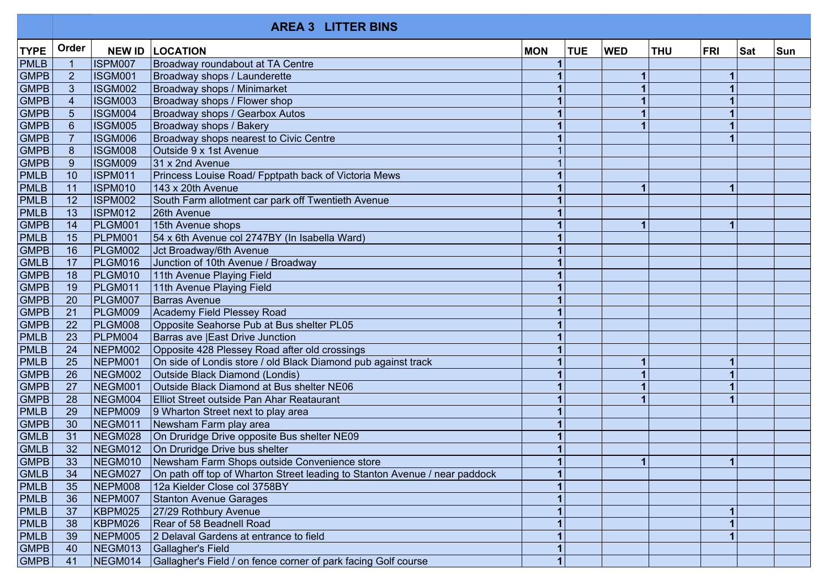|             |                 |                | <b>AREA 3 LITTER BINS</b>                                                  |            |            |            |            |            |     |            |
|-------------|-----------------|----------------|----------------------------------------------------------------------------|------------|------------|------------|------------|------------|-----|------------|
| <b>TYPE</b> | Order           | <b>NEW ID</b>  | <b>LOCATION</b>                                                            | <b>MON</b> | <b>TUE</b> | <b>WED</b> | <b>THU</b> | <b>FRI</b> | Sat | <b>Sun</b> |
| <b>PMLB</b> | $\overline{1}$  | <b>ISPM007</b> | Broadway roundabout at TA Centre                                           |            |            |            |            |            |     |            |
| <b>GMPB</b> | $\overline{2}$  | ISGM001        | Broadway shops / Launderette                                               |            |            |            |            | 1          |     |            |
| <b>GMPB</b> | $\mathbf{3}$    | ISGM002        | Broadway shops / Minimarket                                                |            |            |            |            |            |     |            |
| <b>GMPB</b> | $\overline{4}$  | <b>ISGM003</b> | Broadway shops / Flower shop                                               |            |            |            |            |            |     |            |
| GMPB        | $\overline{5}$  | <b>ISGM004</b> | Broadway shops / Gearbox Autos                                             |            |            |            |            |            |     |            |
| GMPB        | $6\phantom{1}$  | <b>ISGM005</b> | Broadway shops / Bakery                                                    |            |            |            |            |            |     |            |
| <b>GMPB</b> | $\overline{7}$  | ISGM006        | Broadway shops nearest to Civic Centre                                     |            |            |            |            |            |     |            |
| GMPB        | 8               | <b>ISGM008</b> | Outside 9 x 1st Avenue                                                     |            |            |            |            |            |     |            |
| <b>GMPB</b> | 9               | ISGM009        | 31 x 2nd Avenue                                                            |            |            |            |            |            |     |            |
| <b>PMLB</b> | 10              | <b>ISPM011</b> | Princess Louise Road/ Fpptpath back of Victoria Mews                       |            |            |            |            |            |     |            |
| <b>PMLB</b> | 11              | <b>ISPM010</b> | 143 x 20th Avenue                                                          |            |            |            |            | 1          |     |            |
| PMLB        | 12              | <b>ISPM002</b> | South Farm allotment car park off Twentieth Avenue                         |            |            |            |            |            |     |            |
| PMLB        | 13              | <b>ISPM012</b> | 26th Avenue                                                                |            |            |            |            |            |     |            |
| GMPB        | 14              | PLGM001        | 15th Avenue shops                                                          |            |            | 1          |            | 1          |     |            |
| PMLB        | 15              | PLPM001        | 54 x 6th Avenue col 2747BY (In Isabella Ward)                              |            |            |            |            |            |     |            |
| GMPB        | 16              | PLGM002        | Jct Broadway/6th Avenue                                                    |            |            |            |            |            |     |            |
| <b>GMLB</b> | 17              | PLGM016        | Junction of 10th Avenue / Broadway                                         |            |            |            |            |            |     |            |
| GMPB        | 18              | PLGM010        | 11th Avenue Playing Field                                                  |            |            |            |            |            |     |            |
| <b>GMPB</b> | 19              | PLGM011        | 11th Avenue Playing Field                                                  |            |            |            |            |            |     |            |
| <b>GMPB</b> | 20              | PLGM007        | <b>Barras Avenue</b>                                                       |            |            |            |            |            |     |            |
| GMPB        | 21              | PLGM009        | Academy Field Plessey Road                                                 |            |            |            |            |            |     |            |
| GMPB        | 22              | <b>PLGM008</b> | Opposite Seahorse Pub at Bus shelter PL05                                  |            |            |            |            |            |     |            |
| PMLB        | 23              | PLPM004        | Barras ave   East Drive Junction                                           |            |            |            |            |            |     |            |
| PMLB        | 24              | <b>NEPM002</b> | Opposite 428 Plessey Road after old crossings                              |            |            |            |            |            |     |            |
| PMLB        | 25              | NEPM001        | On side of Londis store / old Black Diamond pub against track              |            |            |            |            | 1          |     |            |
| <b>GMPB</b> | 26              | NEGM002        | Outside Black Diamond (Londis)                                             |            |            |            |            |            |     |            |
| <b>GMPB</b> | 27              | NEGM001        | Outside Black Diamond at Bus shelter NE06                                  |            |            |            |            |            |     |            |
| <b>GMPB</b> | 28              | NEGM004        | Elliot Street outside Pan Ahar Reataurant                                  |            |            |            |            |            |     |            |
| <b>PMLB</b> | 29              | <b>NEPM009</b> | 9 Wharton Street next to play area                                         |            |            |            |            |            |     |            |
| GMPB        | 30              | NEGM011        | Newsham Farm play area                                                     |            |            |            |            |            |     |            |
| <b>GMLB</b> | 31              | NEGM028        | On Druridge Drive opposite Bus shelter NE09                                |            |            |            |            |            |     |            |
| <b>GMLB</b> | $\overline{32}$ | NEGM012        | On Druridge Drive bus shelter                                              |            |            |            |            |            |     |            |
| <b>GMPB</b> | 33              | NEGM010        | Newsham Farm Shops outside Convenience store                               |            |            |            |            | 11         |     |            |
| <b>GMLB</b> | 34              | NEGM027        | On path off top of Wharton Street leading to Stanton Avenue / near paddock |            |            |            |            |            |     |            |
| <b>PMLB</b> | 35              | NEPM008        | 12a Kielder Close col 3758BY                                               |            |            |            |            |            |     |            |
| <b>PMLB</b> | 36              | NEPM007        | Stanton Avenue Garages                                                     |            |            |            |            |            |     |            |
| <b>PMLB</b> | 37              | KBPM025        | 27/29 Rothbury Avenue                                                      |            |            |            |            |            |     |            |
| <b>PMLB</b> | 38              | KBPM026        | Rear of 58 Beadnell Road                                                   |            |            |            |            |            |     |            |
| <b>PMLB</b> | 39              | NEPM005        | 2 Delaval Gardens at entrance to field                                     |            |            |            |            |            |     |            |
| <b>GMPB</b> | 40              | NEGM013        | Gallagher's Field                                                          |            |            |            |            |            |     |            |
| GMPB        | 41              | NEGM014        | Gallagher's Field / on fence corner of park facing Golf course             |            |            |            |            |            |     |            |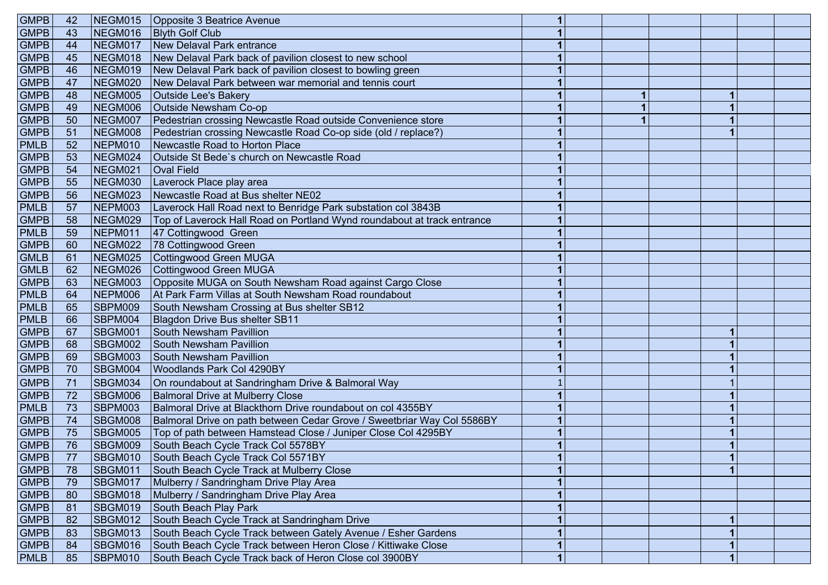| <b>GMPB</b> | 42 | NEGM015        | Opposite 3 Beatrice Avenue                                              |                |  |    |  |
|-------------|----|----------------|-------------------------------------------------------------------------|----------------|--|----|--|
| <b>GMPB</b> | 43 | NEGM016        | <b>Blyth Golf Club</b>                                                  | 1              |  |    |  |
| <b>GMPB</b> | 44 | NEGM017        | New Delaval Park entrance                                               |                |  |    |  |
| <b>GMPB</b> | 45 | NEGM018        | New Delaval Park back of pavilion closest to new school                 |                |  |    |  |
| <b>GMPB</b> | 46 | NEGM019        | New Delaval Park back of pavilion closest to bowling green              |                |  |    |  |
| <b>GMPB</b> | 47 | NEGM020        | New Delaval Park between war memorial and tennis court                  |                |  |    |  |
| <b>GMPB</b> | 48 | NEGM005        | Outside Lee's Bakery                                                    |                |  |    |  |
| <b>GMPB</b> | 49 | NEGM006        | Outside Newsham Co-op                                                   |                |  |    |  |
| <b>GMPB</b> | 50 | NEGM007        | Pedestrian crossing Newcastle Road outside Convenience store            |                |  |    |  |
| <b>GMPB</b> | 51 | NEGM008        | Pedestrian crossing Newcastle Road Co-op side (old / replace?)          |                |  |    |  |
| <b>PMLB</b> | 52 | NEPM010        | Newcastle Road to Horton Place                                          |                |  |    |  |
| <b>GMPB</b> | 53 | NEGM024        | Outside St Bede's church on Newcastle Road                              |                |  |    |  |
| <b>GMPB</b> | 54 | NEGM021        | <b>Oval Field</b>                                                       |                |  |    |  |
| <b>GMPB</b> | 55 | NEGM030        | Laverock Place play area                                                |                |  |    |  |
| <b>GMPB</b> | 56 | NEGM023        | Newcastle Road at Bus shelter NE02                                      |                |  |    |  |
| PMLB        | 57 | NEPM003        | Laverock Hall Road next to Benridge Park substation col 3843B           |                |  |    |  |
| <b>GMPB</b> | 58 | NEGM029        | Top of Laverock Hall Road on Portland Wynd roundabout at track entrance |                |  |    |  |
| <b>PMLB</b> | 59 | NEPM011        | 47 Cottingwood Green                                                    |                |  |    |  |
| <b>GMPB</b> | 60 | NEGM022        | 78 Cottingwood Green                                                    |                |  |    |  |
| <b>GMLB</b> | 61 | NEGM025        | Cottingwood Green MUGA                                                  |                |  |    |  |
| <b>GMLB</b> | 62 | NEGM026        | Cottingwood Green MUGA                                                  |                |  |    |  |
| <b>GMPB</b> | 63 | NEGM003        | Opposite MUGA on South Newsham Road against Cargo Close                 |                |  |    |  |
| <b>PMLB</b> | 64 | NEPM006        | At Park Farm Villas at South Newsham Road roundabout                    |                |  |    |  |
| <b>PMLB</b> | 65 | SBPM009        | South Newsham Crossing at Bus shelter SB12                              |                |  |    |  |
| PMLB        | 66 | SBPM004        | Blagdon Drive Bus shelter SB11                                          |                |  |    |  |
| <b>GMPB</b> | 67 | <b>SBGM001</b> | South Newsham Pavillion                                                 |                |  |    |  |
| <b>GMPB</b> | 68 | SBGM002        | <b>South Newsham Pavillion</b>                                          |                |  |    |  |
| <b>GMPB</b> | 69 | SBGM003        | South Newsham Pavillion                                                 |                |  |    |  |
| <b>GMPB</b> | 70 | SBGM004        | Woodlands Park Col 4290BY                                               |                |  |    |  |
| <b>GMPB</b> | 71 | <b>SBGM034</b> | On roundabout at Sandringham Drive & Balmoral Way                       |                |  |    |  |
| <b>GMPB</b> | 72 | SBGM006        | <b>Balmoral Drive at Mulberry Close</b>                                 |                |  |    |  |
| PMLB        | 73 | SBPM003        | Balmoral Drive at Blackthorn Drive roundabout on col 4355BY             |                |  |    |  |
| <b>GMPB</b> | 74 | SBGM008        | Balmoral Drive on path between Cedar Grove / Sweetbriar Way Col 5586BY  |                |  |    |  |
| <b>GMPB</b> | 75 | SBGM005        | Top of path between Hamstead Close / Juniper Close Col 4295BY           |                |  |    |  |
| <b>GMPB</b> | 76 | SBGM009        | South Beach Cycle Track Col 5578BY                                      |                |  |    |  |
| <b>GMPB</b> | 77 | SBGM010        | South Beach Cycle Track Col 5571BY                                      | 1.             |  | 11 |  |
| <b>GMPB</b> | 78 | SBGM011        | South Beach Cycle Track at Mulberry Close                               |                |  |    |  |
| <b>GMPB</b> | 79 | SBGM017        | Mulberry / Sandringham Drive Play Area                                  |                |  |    |  |
| GMPB        | 80 | SBGM018        | Mulberry / Sandringham Drive Play Area                                  |                |  |    |  |
| <b>GMPB</b> | 81 | SBGM019        | South Beach Play Park                                                   |                |  |    |  |
| GMPB        | 82 | SBGM012        | South Beach Cycle Track at Sandringham Drive                            |                |  |    |  |
| <b>GMPB</b> | 83 | <b>SBGM013</b> | South Beach Cycle Track between Gately Avenue / Esher Gardens           |                |  |    |  |
| GMPB        | 84 | <b>SBGM016</b> | South Beach Cycle Track between Heron Close / Kittiwake Close           |                |  |    |  |
| <b>PMLB</b> | 85 | SBPM010        | South Beach Cycle Track back of Heron Close col 3900BY                  | $\overline{1}$ |  |    |  |
|             |    |                |                                                                         |                |  |    |  |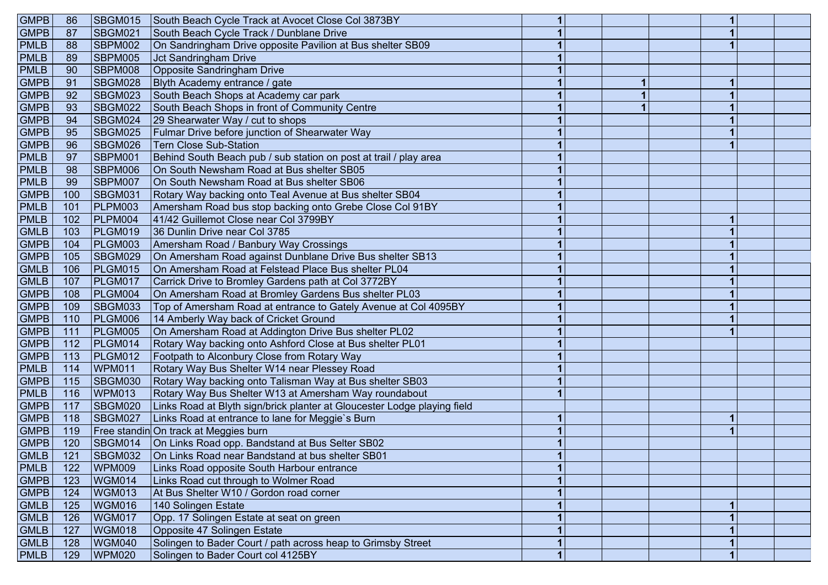| <b>GMPB</b> | 86  | SBGM015        | South Beach Cycle Track at Avocet Close Col 3873BY                       |              |  |  |  |
|-------------|-----|----------------|--------------------------------------------------------------------------|--------------|--|--|--|
| <b>GMPB</b> | 87  | SBGM021        | South Beach Cycle Track / Dunblane Drive                                 |              |  |  |  |
| <b>PMLB</b> | 88  | SBPM002        | On Sandringham Drive opposite Pavilion at Bus shelter SB09               |              |  |  |  |
| <b>PMLB</b> | 89  | SBPM005        | <b>Jct Sandringham Drive</b>                                             |              |  |  |  |
| <b>PMLB</b> | 90  | SBPM008        | <b>Opposite Sandringham Drive</b>                                        |              |  |  |  |
| <b>GMPB</b> | 91  | SBGM028        | Blyth Academy entrance / gate                                            |              |  |  |  |
| <b>GMPB</b> | 92  | SBGM023        | South Beach Shops at Academy car park                                    |              |  |  |  |
| <b>GMPB</b> | 93  | SBGM022        | South Beach Shops in front of Community Centre                           |              |  |  |  |
| <b>GMPB</b> | 94  | SBGM024        | 29 Shearwater Way / cut to shops                                         |              |  |  |  |
| <b>GMPB</b> | 95  | <b>SBGM025</b> | Fulmar Drive before junction of Shearwater Way                           |              |  |  |  |
| <b>GMPB</b> | 96  | SBGM026        | <b>Tern Close Sub-Station</b>                                            |              |  |  |  |
| <b>PMLB</b> | 97  | SBPM001        | Behind South Beach pub / sub station on post at trail / play area        |              |  |  |  |
| <b>PMLB</b> | 98  | <b>SBPM006</b> | On South Newsham Road at Bus shelter SB05                                |              |  |  |  |
| <b>PMLB</b> | 99  | SBPM007        | On South Newsham Road at Bus shelter SB06                                |              |  |  |  |
| <b>GMPB</b> | 100 | SBGM031        | Rotary Way backing onto Teal Avenue at Bus shelter SB04                  |              |  |  |  |
| <b>PMLB</b> | 101 | PLPM003        | Amersham Road bus stop backing onto Grebe Close Col 91BY                 |              |  |  |  |
| <b>PMLB</b> | 102 | PLPM004        | 41/42 Guillemot Close near Col 3799BY                                    |              |  |  |  |
| <b>GMLB</b> | 103 | PLGM019        | 36 Dunlin Drive near Col 3785                                            |              |  |  |  |
| <b>GMPB</b> | 104 | PLGM003        | Amersham Road / Banbury Way Crossings                                    |              |  |  |  |
| <b>GMPB</b> | 105 | SBGM029        | On Amersham Road against Dunblane Drive Bus shelter SB13                 |              |  |  |  |
| <b>GMLB</b> | 106 | PLGM015        | On Amersham Road at Felstead Place Bus shelter PL04                      |              |  |  |  |
| <b>GMLB</b> | 107 | PLGM017        | Carrick Drive to Bromley Gardens path at Col 3772BY                      |              |  |  |  |
| <b>GMPB</b> | 108 | PLGM004        | On Amersham Road at Bromley Gardens Bus shelter PL03                     |              |  |  |  |
| <b>GMPB</b> | 109 | <b>SBGM033</b> | Top of Amersham Road at entrance to Gately Avenue at Col 4095BY          |              |  |  |  |
| <b>GMPB</b> | 110 | PLGM006        | 14 Amberly Way back of Cricket Ground                                    |              |  |  |  |
| <b>GMPB</b> | 111 | PLGM005        | On Amersham Road at Addington Drive Bus shelter PL02                     |              |  |  |  |
| GMPB        | 112 | PLGM014        | Rotary Way backing onto Ashford Close at Bus shelter PL01                |              |  |  |  |
| <b>GMPB</b> | 113 | PLGM012        | Footpath to Alconbury Close from Rotary Way                              |              |  |  |  |
| <b>PMLB</b> | 114 | <b>WPM011</b>  | Rotary Way Bus Shelter W14 near Plessey Road                             |              |  |  |  |
| <b>GMPB</b> | 115 | SBGM030        | Rotary Way backing onto Talisman Way at Bus shelter SB03                 |              |  |  |  |
| <b>PMLB</b> | 116 | <b>WPM013</b>  | Rotary Way Bus Shelter W13 at Amersham Way roundabout                    |              |  |  |  |
| <b>GMPB</b> | 117 | SBGM020        | Links Road at Blyth sign/brick planter at Gloucester Lodge playing field |              |  |  |  |
| <b>GMPB</b> | 118 | SBGM027        | Links Road at entrance to lane for Meggie's Burn                         | 1            |  |  |  |
| <b>GMPB</b> | 119 |                | Free standin On track at Meggies burn                                    |              |  |  |  |
| <b>GMPB</b> | 120 | SBGM014        | On Links Road opp. Bandstand at Bus Selter SB02                          |              |  |  |  |
| GMLB        | 121 |                | SBGM032   On Links Road near Bandstand at bus shelter SB01               |              |  |  |  |
| <b>PMLB</b> | 122 | <b>WPM009</b>  | Links Road opposite South Harbour entrance                               |              |  |  |  |
| GMPB        | 123 | WGM014         | Links Road cut through to Wolmer Road                                    |              |  |  |  |
| GMPB        | 124 | <b>WGM013</b>  | At Bus Shelter W10 / Gordon road corner                                  |              |  |  |  |
| <b>GMLB</b> | 125 | <b>WGM016</b>  | 140 Solingen Estate                                                      |              |  |  |  |
| <b>GMLB</b> | 126 | <b>WGM017</b>  | Opp. 17 Solingen Estate at seat on green                                 |              |  |  |  |
| <b>GMLB</b> | 127 | <b>WGM018</b>  | Opposite 47 Solingen Estate                                              |              |  |  |  |
| <b>GMLB</b> | 128 | WGM040         | Solingen to Bader Court / path across heap to Grimsby Street             |              |  |  |  |
| <b>PMLB</b> | 129 | <b>WPM020</b>  | Solingen to Bader Court col 4125BY                                       | $\mathbf{1}$ |  |  |  |